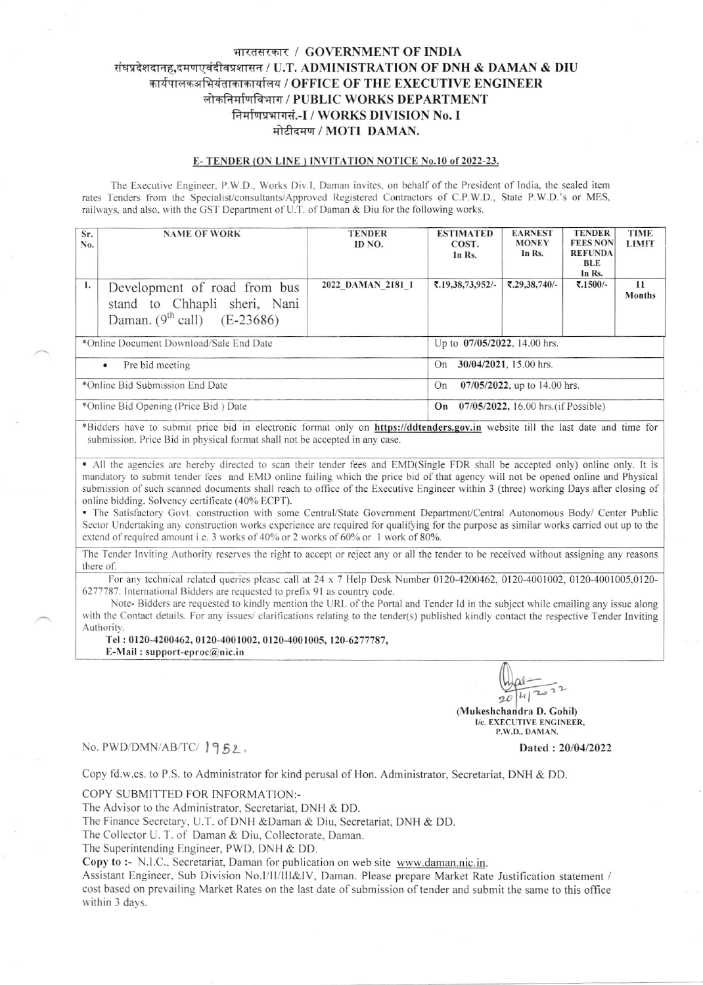# भारतसरकार / GOVERNMENT OF INDIA संघप्रदेशदानह,दमणएवंदीवप्रशासन / U.T. ADMINISTRATION OF DNH & DAMAN & DIU कार्यपालकअभियंताकाकार्यालय / OFFICE OF THE EXECUTIVE ENGINEER लोकनिर्माणविभाग / PUBLIC WORKS DEPARTMENT निर्माणप्रभागसं.-I / WORKS DIVISION No. I मोटीदमण / MOTI DAMAN.

### E-TENDER (ON LINE) INVITATION NOTICE No.10 of 2022-23.

The Executive Engineer, P.W.D., Works Div.I, Daman invites, on behalf of the President of India, the sealed item rates Tenders from the Specialist/consultants/Approved Registered Contractors of C.P.W.D., State P.W.D.'s or MES, railways, and also, with the GST Department of U.T. of Daman & Diu for the following works.

| Sr.<br>No.                              | <b>NAME OF WORK</b>                                                                                | <b>TENDER</b><br>ID NO. | <b>ESTIMATED</b><br>COST.<br>In Rs.        | <b>EARNEST</b><br><b>MONEY</b><br>In Rs. | <b>TENDER</b><br><b>FEES NON</b><br><b>REFUNDA</b><br>BLE<br>In Rs. | <b>TIME</b><br><b>LIMIT</b> |  |
|-----------------------------------------|----------------------------------------------------------------------------------------------------|-------------------------|--------------------------------------------|------------------------------------------|---------------------------------------------------------------------|-----------------------------|--|
| 1.                                      | Development of road from bus<br>stand to Chhapli sheri, Nani<br>Daman. $(9^{th}$ call) $(E-23686)$ | 2022 DAMAN 2181 1       | ₹.19,38,73,952/-                           | ₹,29,38,740/-                            | ₹.1500/-                                                            | 11<br><b>Months</b>         |  |
| *Online Document Download/Sale End Date |                                                                                                    |                         | Up to 07/05/2022, 14.00 hrs.               |                                          |                                                                     |                             |  |
| Pre bid meeting<br>$\bullet$            |                                                                                                    |                         | 30/04/2021, 15.00 hrs.<br>On               |                                          |                                                                     |                             |  |
| *Online Bid Submission End Date         |                                                                                                    |                         | $07/05/2022$ , up to 14.00 hrs.<br>On      |                                          |                                                                     |                             |  |
| *Online Bid Opening (Price Bid) Date    |                                                                                                    |                         | 07/05/2022, 16.00 hrs. (if Possible)<br>On |                                          |                                                                     |                             |  |

\*Bidders have to submit price bid in electronic format only on https://ddtenders.gov.in website till the last date and time for submission. Price Bid in physical format shall not be accepted in any case.

• All the agencies are hereby directed to scan their tender fees and EMD(Single FDR shall be accepted only) online only. It is mandatory to submit tender fees and EMD online failing which the price bid of that agency will not be opened online and Physical submission of such scanned documents shall reach to office of the Executive Engineer within 3 (three) working Days after closing of online bidding. Solvency certificate (40% ECPT).

· The Satisfactory Govt. construction with some Central/State Government Department/Central Autonomous Body/ Center Public Sector Undertaking any construction works experience are required for qualifying for the purpose as similar works carried out up to the extend of required amount i.e. 3 works of 40% or 2 works of 60% or 1 work of 80%.

The Tender Inviting Authority reserves the right to accept or reject any or all the tender to be received without assigning any reasons there of.

For any technical related queries please call at  $24 \times 7$  Help Desk Number 0120-4200462, 0120-4001002, 0120-4001005,0120-6277787. International Bidders are requested to prefix 91 as country code.

Note-Bidders are requested to kindly mention the URL of the Portal and Tender Id in the subject while emailing any issue along with the Contact details. For any issues/ clarifications relating to the tender(s) published kindly contact the respective Tender Inviting Authority.

Tel: 0120-4200462, 0120-4001002, 0120-4001005, 120-6277787, E-Mail: support-eproc@nic.in

 $QD$ 

(Mukeshchandra D. Gohil) I/c. EXECUTIVE ENGINEER, P.W.D., DAMAN.

### No. PWD/DMN/AB/TC/ 1952,

Dated: 20/04/2022

Copy fd.w.cs. to P.S. to Administrator for kind perusal of Hon. Administrator, Secretariat, DNH & DD.

COPY SUBMITTED FOR INFORMATION:-

The Advisor to the Administrator, Secretariat, DNH & DD.

The Finance Secretary, U.T. of DNH & Daman & Diu, Secretariat, DNH & DD.

The Collector U. T. of Daman & Diu, Collectorate, Daman.

The Superintending Engineer, PWD, DNH & DD.

Copy to :- N.I.C., Secretariat, Daman for publication on web site www.daman.nic.in.

Assistant Engineer, Sub Division No.I/II/III&IV, Daman. Please prepare Market Rate Justification statement / cost based on prevailing Market Rates on the last date of submission of tender and submit the same to this office within 3 days.